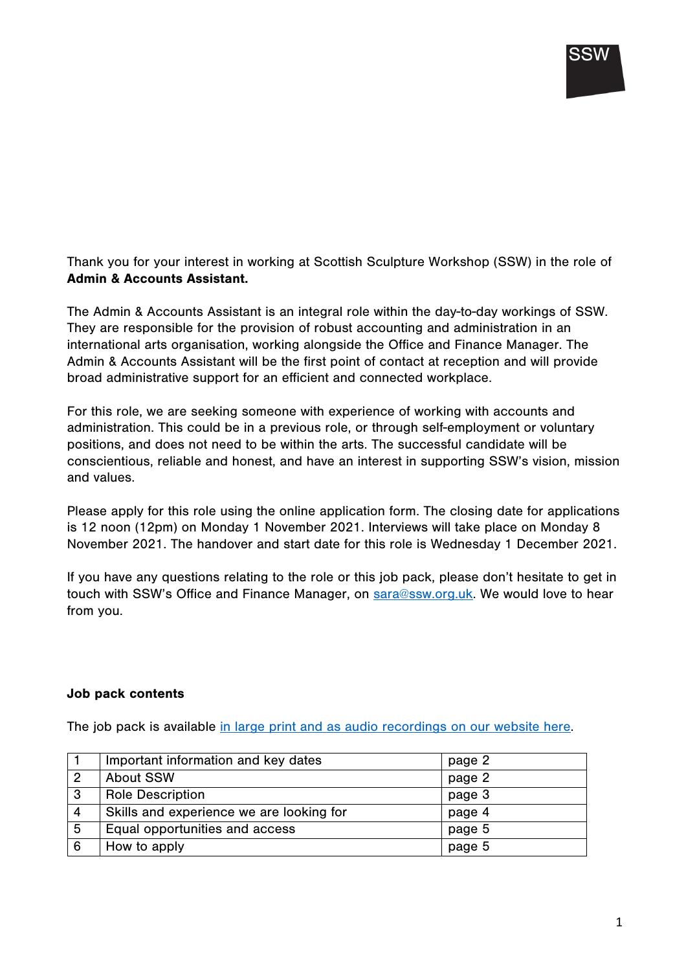

Thank you for your interest in working at Scottish Sculpture Workshop (SSW) in the role of Admin & Accounts Assistant.

The Admin & Accounts Assistant is an integral role within the day-to-day workings of SSW. They are responsible for the provision of robust accounting and administration in an international arts organisation, working alongside the Office and Finance Manager. The Admin & Accounts Assistant will be the first point of contact at reception and will provide broad administrative support for an efficient and connected workplace.

For this role, we are seeking someone with experience of working with accounts and administration. This could be in a previous role, or through self-employment or voluntary positions, and does not need to be within the arts. The successful candidate will be conscientious, reliable and honest, and have an interest in supporting SSW's vision, mission and values.

Please apply for this role using the online application form. The closing date for applications is 12 noon (12pm) on Monday 1 November 2021. Interviews will take place on Monday 8 November 2021. The handover and start date for this role is Wednesday 1 December 2021.

If you have any questions relating to the role or this job pack, please don't hesitate to get in touch with SSW's Office and Finance Manager, on sara@ssw.org.uk. We would love to hear from you.

#### Job pack contents

The job pack is available in large print and as audio recordings on our website here.

|   | Important information and key dates      | page 2 |
|---|------------------------------------------|--------|
|   | <b>About SSW</b>                         | page 2 |
| 3 | <b>Role Description</b>                  | page 3 |
| 4 | Skills and experience we are looking for | page 4 |
| 5 | Equal opportunities and access           | page 5 |
| 6 | How to apply                             | page 5 |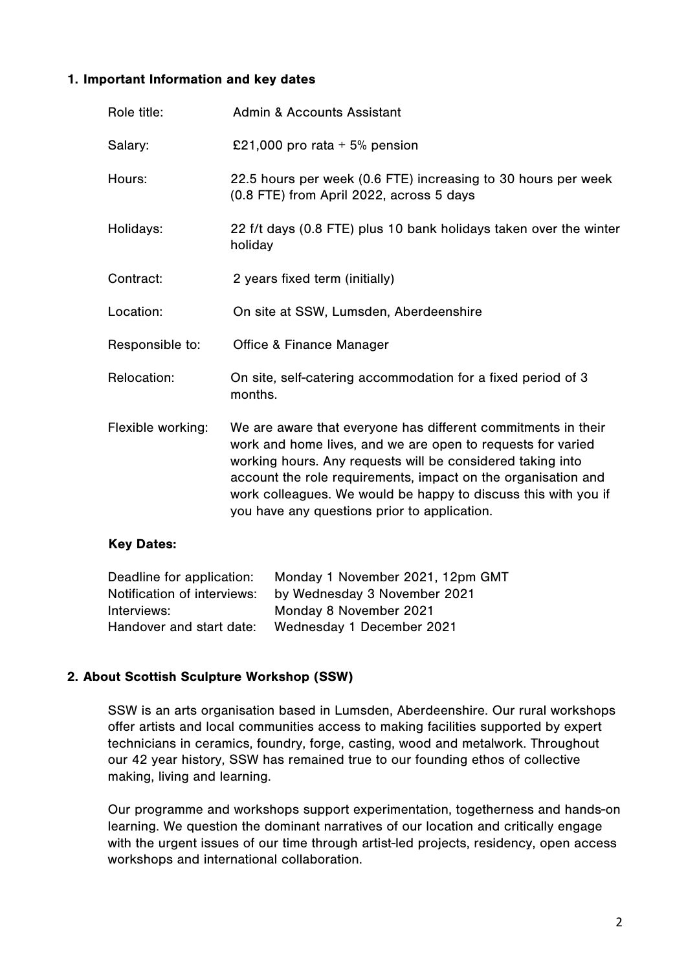### 1. Important Information and key dates

| Role title:       | <b>Admin &amp; Accounts Assistant</b>                                                                                                                                                                                                                                                                                                                                         |
|-------------------|-------------------------------------------------------------------------------------------------------------------------------------------------------------------------------------------------------------------------------------------------------------------------------------------------------------------------------------------------------------------------------|
| Salary:           | £21,000 pro rata $+5%$ pension                                                                                                                                                                                                                                                                                                                                                |
| Hours:            | 22.5 hours per week (0.6 FTE) increasing to 30 hours per week<br>(0.8 FTE) from April 2022, across 5 days                                                                                                                                                                                                                                                                     |
| Holidays:         | 22 f/t days (0.8 FTE) plus 10 bank holidays taken over the winter<br>holiday                                                                                                                                                                                                                                                                                                  |
| Contract:         | 2 years fixed term (initially)                                                                                                                                                                                                                                                                                                                                                |
| Location:         | On site at SSW, Lumsden, Aberdeenshire                                                                                                                                                                                                                                                                                                                                        |
| Responsible to:   | <b>Office &amp; Finance Manager</b>                                                                                                                                                                                                                                                                                                                                           |
| Relocation:       | On site, self-catering accommodation for a fixed period of 3<br>months.                                                                                                                                                                                                                                                                                                       |
| Flexible working: | We are aware that everyone has different commitments in their<br>work and home lives, and we are open to requests for varied<br>working hours. Any requests will be considered taking into<br>account the role requirements, impact on the organisation and<br>work colleagues. We would be happy to discuss this with you if<br>you have any questions prior to application. |

#### Key Dates:

| Monday 1 November 2021, 12pm GMT |
|----------------------------------|
| by Wednesday 3 November 2021     |
| Monday 8 November 2021           |
| Wednesday 1 December 2021        |
|                                  |

## 2. About Scottish Sculpture Workshop (SSW)

SSW is an arts organisation based in Lumsden, Aberdeenshire. Our rural workshops offer artists and local communities access to making facilities supported by expert technicians in ceramics, foundry, forge, casting, wood and metalwork. Throughout our 42 year history, SSW has remained true to our founding ethos of collective making, living and learning.

Our programme and workshops support experimentation, togetherness and hands-on learning. We question the dominant narratives of our location and critically engage with the urgent issues of our time through artist-led projects, residency, open access workshops and international collaboration.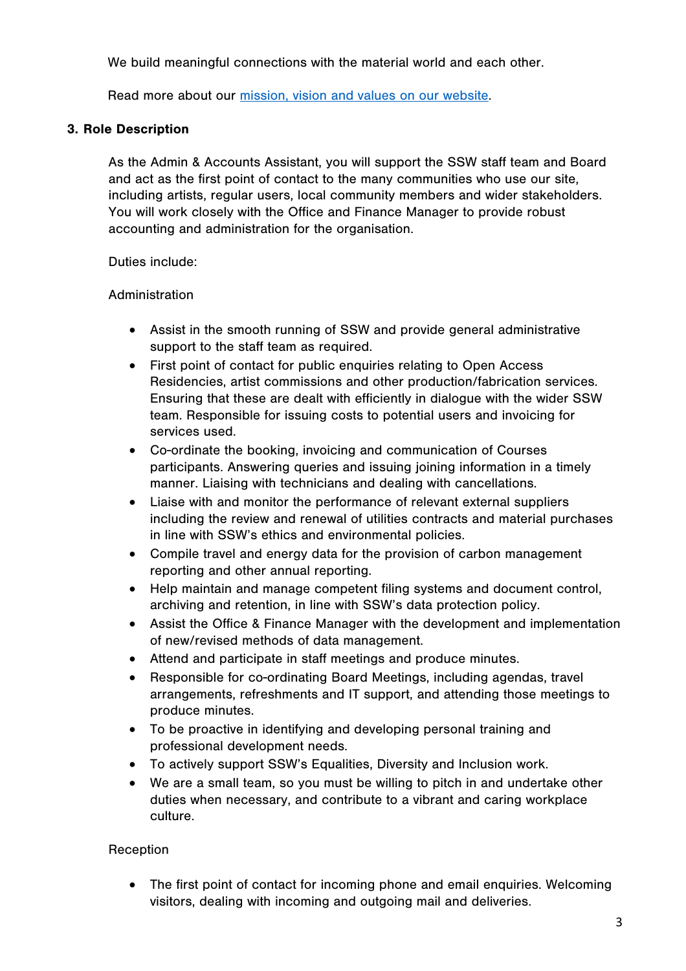We build meaningful connections with the material world and each other.

Read more about our [mission, vision and values on our website.](http://www.ssw.org.uk/about/) 

## 3. Role Description

As the Admin & Accounts Assistant, you will support the SSW staff team and Board and act as the first point of contact to the many communities who use our site, including artists, regular users, local community members and wider stakeholders. You will work closely with the Office and Finance Manager to provide robust accounting and administration for the organisation.

Duties include:

### Administration

- Assist in the smooth running of SSW and provide general administrative support to the staff team as required.
- First point of contact for public enquiries relating to Open Access Residencies, artist commissions and other production/fabrication services. Ensuring that these are dealt with efficiently in dialogue with the wider SSW team. Responsible for issuing costs to potential users and invoicing for services used.
- Co-ordinate the booking, invoicing and communication of Courses participants. Answering queries and issuing joining information in a timely manner. Liaising with technicians and dealing with cancellations.
- Liaise with and monitor the performance of relevant external suppliers including the review and renewal of utilities contracts and material purchases in line with SSW's ethics and environmental policies.
- Compile travel and energy data for the provision of carbon management reporting and other annual reporting.
- Help maintain and manage competent filing systems and document control, archiving and retention, in line with SSW's data protection policy.
- Assist the Office & Finance Manager with the development and implementation of new/revised methods of data management.
- Attend and participate in staff meetings and produce minutes.
- Responsible for co-ordinating Board Meetings, including agendas, travel arrangements, refreshments and IT support, and attending those meetings to produce minutes.
- To be proactive in identifying and developing personal training and professional development needs.
- To actively support SSW's Equalities, Diversity and Inclusion work.
- We are a small team, so you must be willing to pitch in and undertake other duties when necessary, and contribute to a vibrant and caring workplace culture.

## Reception

• The first point of contact for incoming phone and email enquiries. Welcoming visitors, dealing with incoming and outgoing mail and deliveries.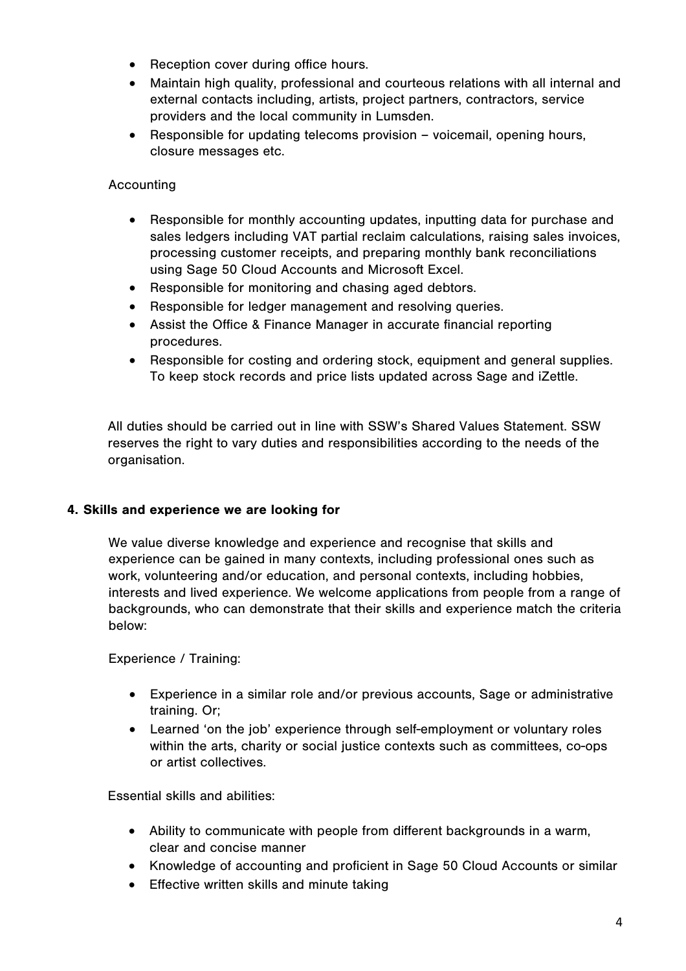- Reception cover during office hours.
- Maintain high quality, professional and courteous relations with all internal and external contacts including, artists, project partners, contractors, service providers and the local community in Lumsden.
- Responsible for updating telecoms provision voicemail, opening hours, closure messages etc.

## Accounting

- Responsible for monthly accounting updates, inputting data for purchase and sales ledgers including VAT partial reclaim calculations, raising sales invoices, processing customer receipts, and preparing monthly bank reconciliations using Sage 50 Cloud Accounts and Microsoft Excel.
- Responsible for monitoring and chasing aged debtors.
- Responsible for ledger management and resolving queries.
- Assist the Office & Finance Manager in accurate financial reporting procedures.
- Responsible for costing and ordering stock, equipment and general supplies. To keep stock records and price lists updated across Sage and iZettle.

All duties should be carried out in line with SSW's Shared Values Statement. SSW reserves the right to vary duties and responsibilities according to the needs of the organisation.

## 4. Skills and experience we are looking for

We value diverse knowledge and experience and recognise that skills and experience can be gained in many contexts, including professional ones such as work, volunteering and/or education, and personal contexts, including hobbies, interests and lived experience. We welcome applications from people from a range of backgrounds, who can demonstrate that their skills and experience match the criteria below:

Experience / Training:

- Experience in a similar role and/or previous accounts, Sage or administrative training. Or;
- Learned 'on the job' experience through self-employment or voluntary roles within the arts, charity or social justice contexts such as committees, co-ops or artist collectives.

Essential skills and abilities:

- Ability to communicate with people from different backgrounds in a warm, clear and concise manner
- Knowledge of accounting and proficient in Sage 50 Cloud Accounts or similar
- Effective written skills and minute taking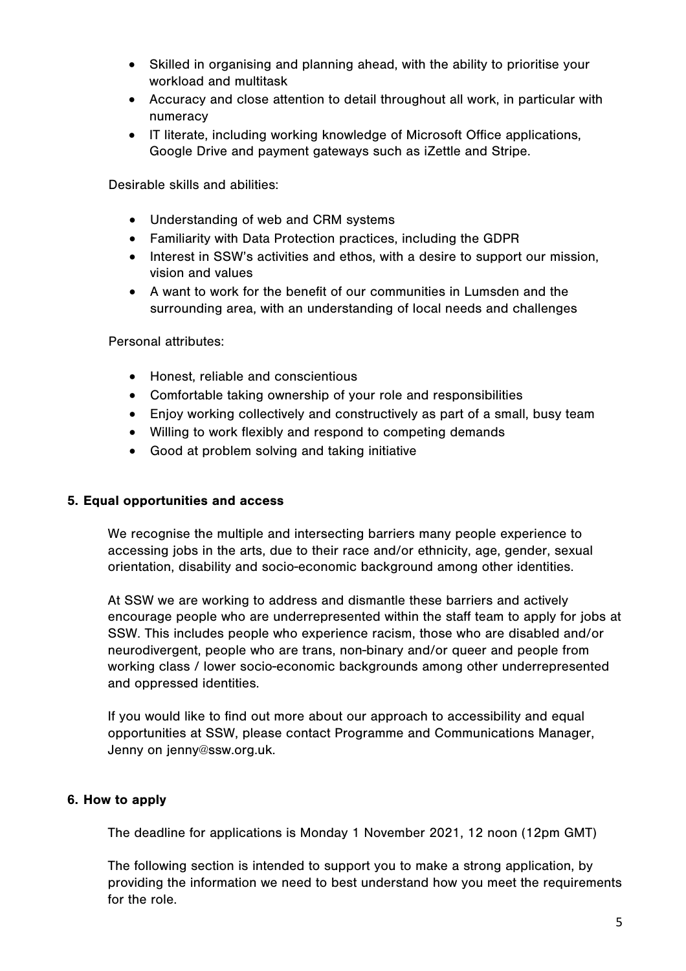- Skilled in organising and planning ahead, with the ability to prioritise your workload and multitask
- Accuracy and close attention to detail throughout all work, in particular with numeracy
- IT literate, including working knowledge of Microsoft Office applications, Google Drive and payment gateways such as iZettle and Stripe.

Desirable skills and abilities:

- Understanding of web and CRM systems
- Familiarity with Data Protection practices, including the GDPR
- Interest in SSW's activities and ethos, with a desire to support our mission, vision and values
- A want to work for the benefit of our communities in Lumsden and the surrounding area, with an understanding of local needs and challenges

Personal attributes:

- Honest, reliable and conscientious
- Comfortable taking ownership of your role and responsibilities
- Enjoy working collectively and constructively as part of a small, busy team
- Willing to work flexibly and respond to competing demands
- Good at problem solving and taking initiative

#### 5. Equal opportunities and access

We recognise the multiple and intersecting barriers many people experience to accessing jobs in the arts, due to their race and/or ethnicity, age, gender, sexual orientation, disability and socio-economic background among other identities.

At SSW we are working to address and dismantle these barriers and actively encourage people who are underrepresented within the staff team to apply for jobs at SSW. This includes people who experience racism, those who are disabled and/or neurodivergent, people who are trans, non-binary and/or queer and people from working class / lower socio-economic backgrounds among other underrepresented and oppressed identities.

If you would like to find out more about our approach to accessibility and equal opportunities at SSW, please contact Programme and Communications Manager, Jenny on jenny@ssw.org.uk.

#### 6. How to apply

The deadline for applications is Monday 1 November 2021, 12 noon (12pm GMT)

The following section is intended to support you to make a strong application, by providing the information we need to best understand how you meet the requirements for the role.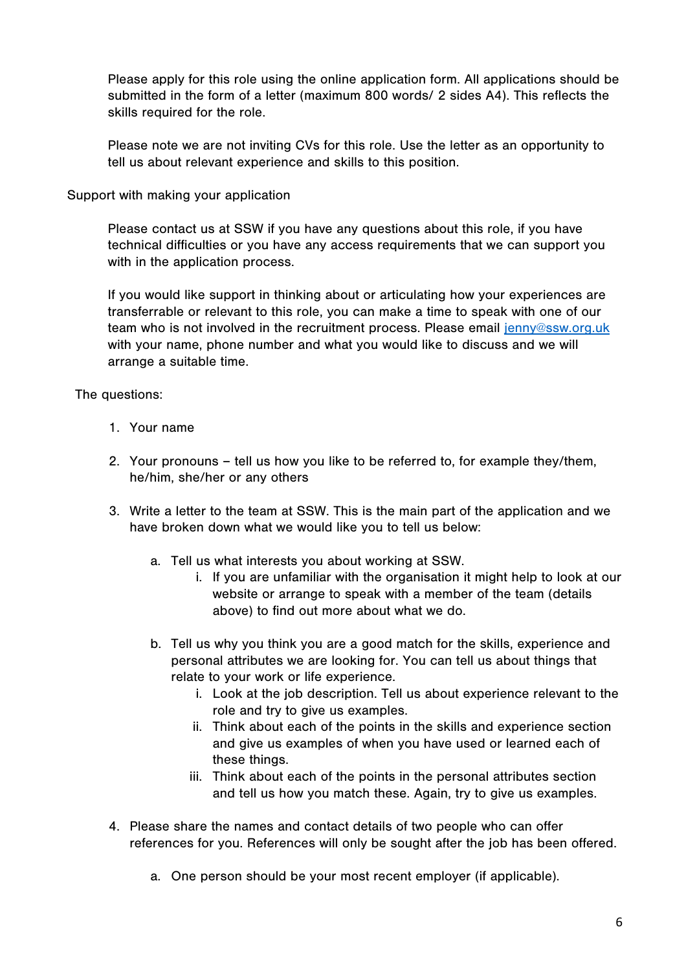Please apply for this role using the online application form. All applications should be submitted in the form of a letter (maximum 800 words/ 2 sides A4). This reflects the skills required for the role.

Please note we are not inviting CVs for this role. Use the letter as an opportunity to tell us about relevant experience and skills to this position.

### Support with making your application

Please contact us at SSW if you have any questions about this role, if you have technical difficulties or you have any access requirements that we can support you with in the application process.

If you would like support in thinking about or articulating how your experiences are transferrable or relevant to this role, you can make a time to speak with one of our team who is not involved in the recruitment process. Please email jenny@ssw.org.uk with your name, phone number and what you would like to discuss and we will arrange a suitable time.

## The questions:

- 1. Your name
- 2. Your pronouns tell us how you like to be referred to, for example they/them, he/him, she/her or any others
- 3. Write a letter to the team at SSW. This is the main part of the application and we have broken down what we would like you to tell us below:
	- a. Tell us what interests you about working at SSW.
		- i. If you are unfamiliar with the organisation it might help to look at our website or arrange to speak with a member of the team (details above) to find out more about what we do.
	- b. Tell us why you think you are a good match for the skills, experience and personal attributes we are looking for. You can tell us about things that relate to your work or life experience.
		- i. Look at the job description. Tell us about experience relevant to the role and try to give us examples.
		- ii. Think about each of the points in the skills and experience section and give us examples of when you have used or learned each of these things.
		- iii. Think about each of the points in the personal attributes section and tell us how you match these. Again, try to give us examples.
- 4. Please share the names and contact details of two people who can offer references for you. References will only be sought after the job has been offered.
	- a. One person should be your most recent employer (if applicable).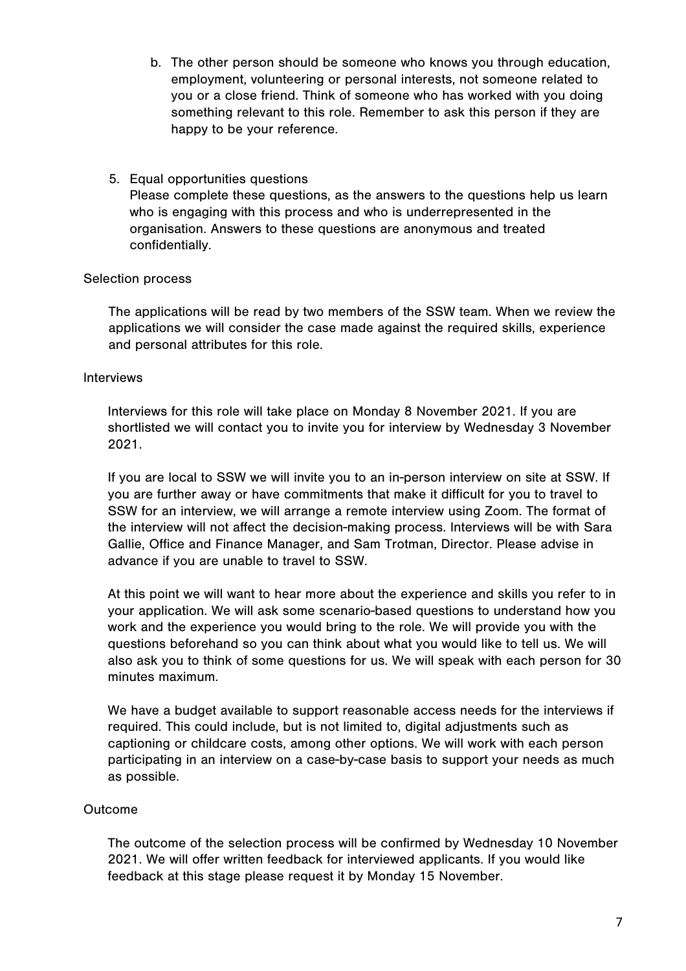- b. The other person should be someone who knows you through education, employment, volunteering or personal interests, not someone related to you or a close friend. Think of someone who has worked with you doing something relevant to this role. Remember to ask this person if they are happy to be your reference.
- 5. Equal opportunities questions Please complete these questions, as the answers to the questions help us learn who is engaging with this process and who is underrepresented in the organisation. Answers to these questions are anonymous and treated confidentially.

### Selection process

The applications will be read by two members of the SSW team. When we review the applications we will consider the case made against the required skills, experience and personal attributes for this role.

### Interviews

Interviews for this role will take place on Monday 8 November 2021. If you are shortlisted we will contact you to invite you for interview by Wednesday 3 November 2021.

If you are local to SSW we will invite you to an in-person interview on site at SSW. If you are further away or have commitments that make it difficult for you to travel to SSW for an interview, we will arrange a remote interview using Zoom. The format of the interview will not affect the decision-making process. Interviews will be with Sara Gallie, Office and Finance Manager, and Sam Trotman, Director. Please advise in advance if you are unable to travel to SSW.

At this point we will want to hear more about the experience and skills you refer to in your application. We will ask some scenario-based questions to understand how you work and the experience you would bring to the role. We will provide you with the questions beforehand so you can think about what you would like to tell us. We will also ask you to think of some questions for us. We will speak with each person for 30 minutes maximum.

We have a budget available to support reasonable access needs for the interviews if required. This could include, but is not limited to, digital adjustments such as captioning or childcare costs, among other options. We will work with each person participating in an interview on a case-by-case basis to support your needs as much as possible.

#### Outcome

The outcome of the selection process will be confirmed by Wednesday 10 November 2021. We will offer written feedback for interviewed applicants. If you would like feedback at this stage please request it by Monday 15 November.